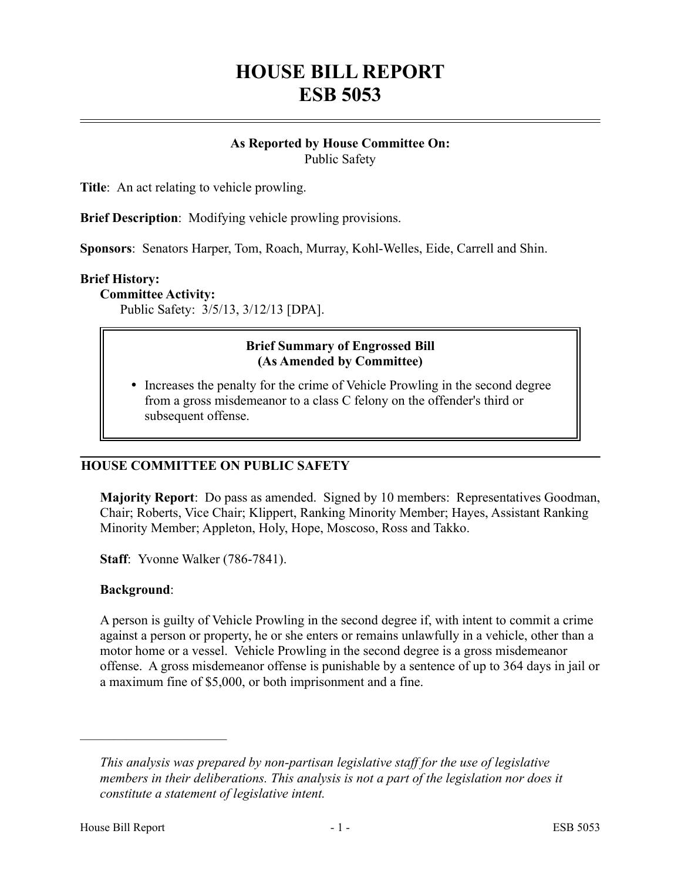# **HOUSE BILL REPORT ESB 5053**

#### **As Reported by House Committee On:** Public Safety

**Title**: An act relating to vehicle prowling.

**Brief Description**: Modifying vehicle prowling provisions.

**Sponsors**: Senators Harper, Tom, Roach, Murray, Kohl-Welles, Eide, Carrell and Shin.

#### **Brief History:**

**Committee Activity:**

Public Safety: 3/5/13, 3/12/13 [DPA].

#### **Brief Summary of Engrossed Bill (As Amended by Committee)**

• Increases the penalty for the crime of Vehicle Prowling in the second degree from a gross misdemeanor to a class C felony on the offender's third or subsequent offense.

## **HOUSE COMMITTEE ON PUBLIC SAFETY**

**Majority Report**: Do pass as amended. Signed by 10 members: Representatives Goodman, Chair; Roberts, Vice Chair; Klippert, Ranking Minority Member; Hayes, Assistant Ranking Minority Member; Appleton, Holy, Hope, Moscoso, Ross and Takko.

**Staff**: Yvonne Walker (786-7841).

#### **Background**:

––––––––––––––––––––––

A person is guilty of Vehicle Prowling in the second degree if, with intent to commit a crime against a person or property, he or she enters or remains unlawfully in a vehicle, other than a motor home or a vessel. Vehicle Prowling in the second degree is a gross misdemeanor offense. A gross misdemeanor offense is punishable by a sentence of up to 364 days in jail or a maximum fine of \$5,000, or both imprisonment and a fine.

*This analysis was prepared by non-partisan legislative staff for the use of legislative members in their deliberations. This analysis is not a part of the legislation nor does it constitute a statement of legislative intent.*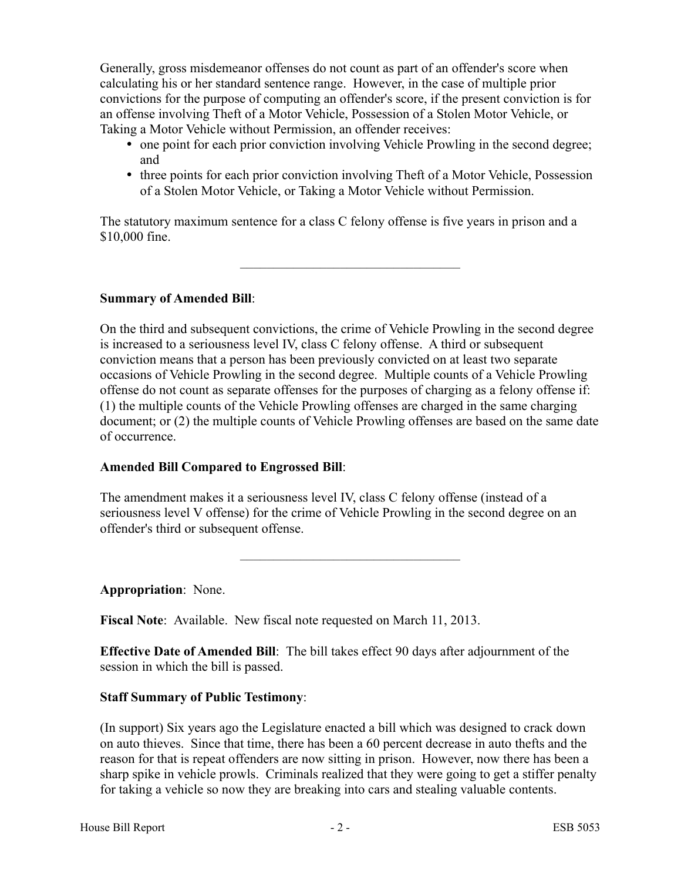Generally, gross misdemeanor offenses do not count as part of an offender's score when calculating his or her standard sentence range. However, in the case of multiple prior convictions for the purpose of computing an offender's score, if the present conviction is for an offense involving Theft of a Motor Vehicle, Possession of a Stolen Motor Vehicle, or Taking a Motor Vehicle without Permission, an offender receives:

- one point for each prior conviction involving Vehicle Prowling in the second degree; and
- three points for each prior conviction involving Theft of a Motor Vehicle, Possession of a Stolen Motor Vehicle, or Taking a Motor Vehicle without Permission.

The statutory maximum sentence for a class C felony offense is five years in prison and a \$10,000 fine.

–––––––––––––––––––––––––––––––––

**Summary of Amended Bill**:

On the third and subsequent convictions, the crime of Vehicle Prowling in the second degree is increased to a seriousness level IV, class C felony offense. A third or subsequent conviction means that a person has been previously convicted on at least two separate occasions of Vehicle Prowling in the second degree. Multiple counts of a Vehicle Prowling offense do not count as separate offenses for the purposes of charging as a felony offense if: (1) the multiple counts of the Vehicle Prowling offenses are charged in the same charging document; or (2) the multiple counts of Vehicle Prowling offenses are based on the same date of occurrence.

## **Amended Bill Compared to Engrossed Bill**:

The amendment makes it a seriousness level IV, class C felony offense (instead of a seriousness level V offense) for the crime of Vehicle Prowling in the second degree on an offender's third or subsequent offense.

–––––––––––––––––––––––––––––––––

**Appropriation**: None.

**Fiscal Note**: Available. New fiscal note requested on March 11, 2013.

**Effective Date of Amended Bill**: The bill takes effect 90 days after adjournment of the session in which the bill is passed.

## **Staff Summary of Public Testimony**:

(In support) Six years ago the Legislature enacted a bill which was designed to crack down on auto thieves. Since that time, there has been a 60 percent decrease in auto thefts and the reason for that is repeat offenders are now sitting in prison. However, now there has been a sharp spike in vehicle prowls. Criminals realized that they were going to get a stiffer penalty for taking a vehicle so now they are breaking into cars and stealing valuable contents.